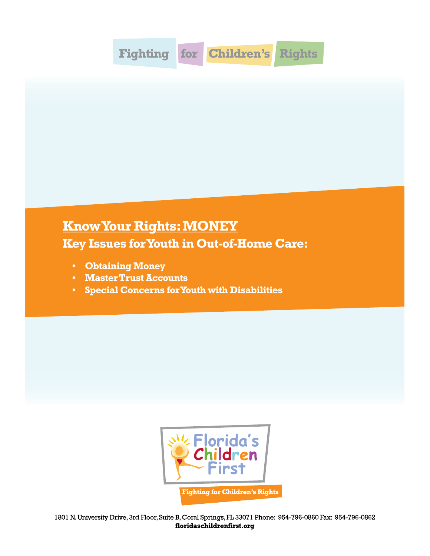

## **Know Your Rights: MONEY**

**Key Issues for Youth in Out-of-Home Care:**

- **• Obtaining Money**
- **• Master Trust Accounts**
- **• Special Concerns for Youth with Disabilities**

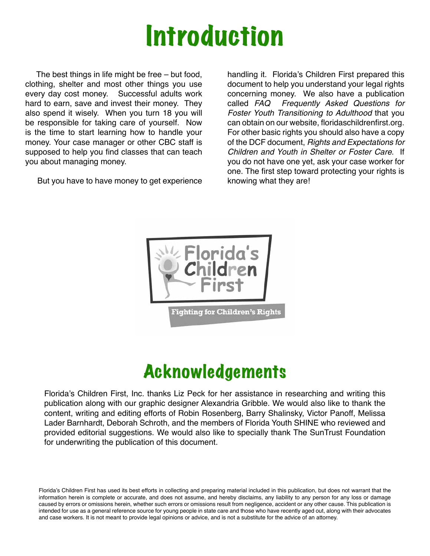## Introduction

 The best things in life might be free – but food, clothing, shelter and most other things you use every day cost money. Successful adults work hard to earn, save and invest their money. They also spend it wisely. When you turn 18 you will be responsible for taking care of yourself. Now is the time to start learning how to handle your money. Your case manager or other CBC staff is supposed to help you find classes that can teach you about managing money.

But you have to have money to get experience

handling it. Florida's Children First prepared this document to help you understand your legal rights concerning money. We also have a publication called *FAQ Frequently Asked Questions for Foster Youth Transitioning to Adulthood* that you can obtain on our website, floridaschildrenfirst.org. For other basic rights you should also have a copy of the DCF document, *Rights and Expectations for Children and Youth in Shelter or Foster Care*. If you do not have one yet, ask your case worker for one. The first step toward protecting your rights is knowing what they are!



## Acknowledgements

Florida's Children First, Inc. thanks Liz Peck for her assistance in researching and writing this publication along with our graphic designer Alexandria Gribble. We would also like to thank the content, writing and editing efforts of Robin Rosenberg, Barry Shalinsky, Victor Panoff, Melissa Lader Barnhardt, Deborah Schroth, and the members of Florida Youth SHINE who reviewed and provided editorial suggestions. We would also like to specially thank The SunTrust Foundation for underwriting the publication of this document.

Florida's Children First has used its best efforts in collecting and preparing material included in this publication, but does not warrant that the information herein is complete or accurate, and does not assume, and hereby disclaims, any liability to any person for any loss or damage caused by errors or omissions herein, whether such errors or omissions result from negligence, accident or any other cause. This publication is intended for use as a general reference source for young people in state care and those who have recently aged out, along with their advocates and case workers. It is not meant to provide legal opinions or advice, and is not a substitute for the advice of an attorney.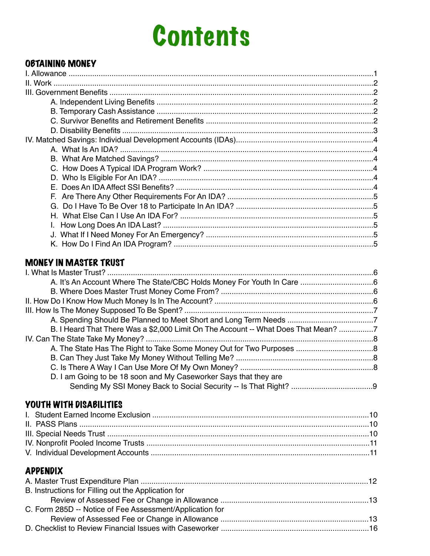## **Contents**

## **OBTAINING MONEY**

## **MONEY IN MASTER TRUST**

| B. I Heard That There Was a \$2,000 Limit On The Account -- What Does That Mean? 7 |  |
|------------------------------------------------------------------------------------|--|
|                                                                                    |  |
|                                                                                    |  |
|                                                                                    |  |
|                                                                                    |  |
| D. I am Going to be 18 soon and My Caseworker Says that they are                   |  |
|                                                                                    |  |
| YOUTH WITH DISABILITIES                                                            |  |
|                                                                                    |  |
|                                                                                    |  |

## **APPENDIX**

| B. Instructions for Filling out the Application for      |  |
|----------------------------------------------------------|--|
|                                                          |  |
| C. Form 285D -- Notice of Fee Assessment/Application for |  |
|                                                          |  |
|                                                          |  |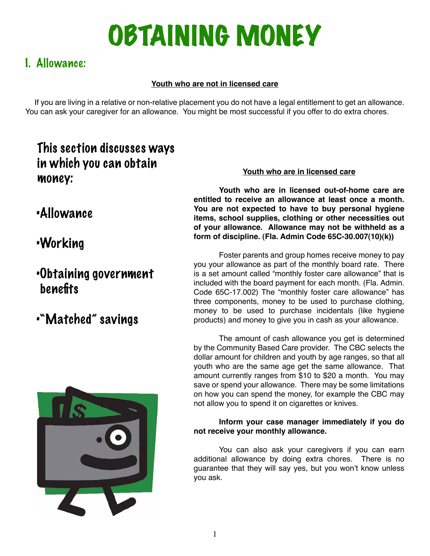## OBTAINING MONEY

## I. Allowance:

## **Youth who are not in licensed care**

 If you are living in a relative or non-relative placement you do not have a legal entitlement to get an allowance. You can ask your caregiver for an allowance. You might be most successful if you offer to do extra chores.

## This section discusses ways in which you can obtain money:

## •Allowance

## •Working

## •Obtaining government benefits

## •"Matched" savings



#### **Youth who are in licensed care**

**Youth who are in licensed out-of-home care are entitled to receive an allowance at least once a month. You are not expected to have to buy personal hygiene items, school supplies, clothing or other necessities out of your allowance. Allowance may not be withheld as a form of discipline. (Fla. Admin Code 65C-30.007(10)(k))**

Foster parents and group homes receive money to pay you your allowance as part of the monthly board rate. There is a set amount called "monthly foster care allowance" that is included with the board payment for each month. (Fla. Admin. Code 65C-17.002) The "monthly foster care allowance" has three components, money to be used to purchase clothing, money to be used to purchase incidentals (like hygiene products) and money to give you in cash as your allowance.

The amount of cash allowance you get is determined by the Community Based Care provider. The CBC selects the dollar amount for children and youth by age ranges, so that all youth who are the same age get the same allowance. That amount currently ranges from \$10 to \$20 a month. You may save or spend your allowance. There may be some limitations on how you can spend the money, for example the CBC may not allow you to spend it on cigarettes or knives.

#### **Inform your case manager immediately if you do not receive your monthly allowance.**

You can also ask your caregivers if you can earn additional allowance by doing extra chores. There is no guarantee that they will say yes, but you won't know unless you ask.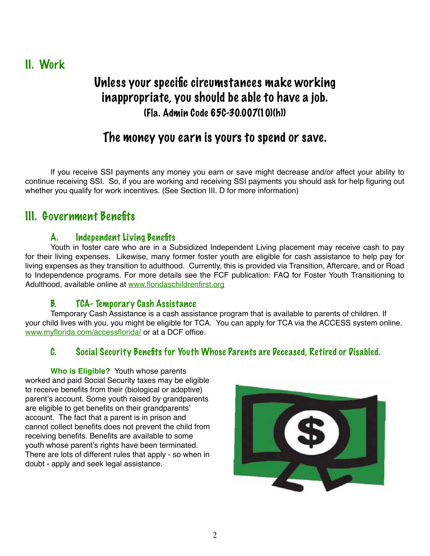II. Work

## Unless your specific circumstances make working inappropriate, you should be able to have a job. (Fla. Admin Code 65C-30.007(10)(h))

## The money you earn is yours to spend or save.

If you receive SSI payments any money you earn or save might decrease and/or affect your ability to continue receiving SSI. So, if you are working and receiving SSI payments you should ask for help figuring out whether you qualify for work incentives. (See Section III. D for more information)

## III. Government Benefits

## A. Independent Living Benefits

Youth in foster care who are in a Subsidized Independent Living placement may receive cash to pay for their living expenses. Likewise, many former foster youth are eligible for cash assistance to help pay for living expenses as they transition to adulthood. Currently, this is provided via Transition, Aftercare, and or Road to Independence programs. For more details see the FCF publication: FAQ for Foster Youth Transitioning to Adulthood, available online at www.floridaschildrenfirst.org

## B. TCA- Temporary Cash Assistance

Temporary Cash Assistance is a cash assistance program that is available to parents of children. If your child lives with you, you might be eligible for TCA. You can apply for TCA via the ACCESS system online. www.myflorida.com/accessflorida/ or at a DCF office.

## C. Social Security Benefits for Youth Whose Parents are Deceased, Retired or Disabled.

**Who is Eligible?** Youth whose parents worked and paid Social Security taxes may be eligible to receive benefits from their (biological or adoptive) parent's account. Some youth raised by grandparents are eligible to get benefits on their grandparents' account. The fact that a parent is in prison and cannot collect benefits does not prevent the child from receiving benefits. Benefits are available to some youth whose parent's rights have been terminated. There are lots of different rules that apply - so when in doubt - apply and seek legal assistance.

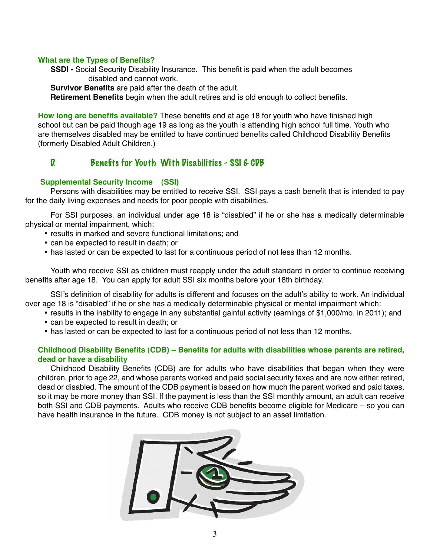#### **What are the Types of Benefits?**

**SSDI -** Social Security Disability Insurance. This benefit is paid when the adult becomes disabled and cannot work.

**Survivor Benefits** are paid after the death of the adult.

**Retirement Benefits** begin when the adult retires and is old enough to collect benefits.

**How long are benefits available?** These benefits end at age 18 for youth who have finished high school but can be paid though age 19 as long as the youth is attending high school full time. Youth who are themselves disabled may be entitled to have continued benefits called Childhood Disability Benefits (formerly Disabled Adult Children.)

#### D. Benefits for Youth With Disabilities - SSI & CDB

#### **Supplemental Security Income (SSI)**

Persons with disabilities may be entitled to receive SSI. SSI pays a cash benefit that is intended to pay for the daily living expenses and needs for poor people with disabilities.

For SSI purposes, an individual under age 18 is "disabled" if he or she has a medically determinable physical or mental impairment, which:

- results in marked and severe functional limitations; and
- can be expected to result in death; or
- has lasted or can be expected to last for a continuous period of not less than 12 months.

Youth who receive SSI as children must reapply under the adult standard in order to continue receiving benefits after age 18. You can apply for adult SSI six months before your 18th birthday.

SSI's definition of disability for adults is different and focuses on the adult's ability to work. An individual over age 18 is "disabled" if he or she has a medically determinable physical or mental impairment which:

- results in the inability to engage in any substantial gainful activity (earnings of \$1,000/mo. in 2011); and
- can be expected to result in death; or
- has lasted or can be expected to last for a continuous period of not less than 12 months.

#### **Childhood Disability Benefits (CDB) – Benefits for adults with disabilities whose parents are retired, dead or have a disability**

Childhood Disability Benefits (CDB) are for adults who have disabilities that began when they were children, prior to age 22, and whose parents worked and paid social security taxes and are now either retired, dead or disabled. The amount of the CDB payment is based on how much the parent worked and paid taxes, so it may be more money than SSI. If the payment is less than the SSI monthly amount, an adult can receive both SSI and CDB payments. Adults who receive CDB benefits become eligible for Medicare – so you can have health insurance in the future. CDB money is not subject to an asset limitation.

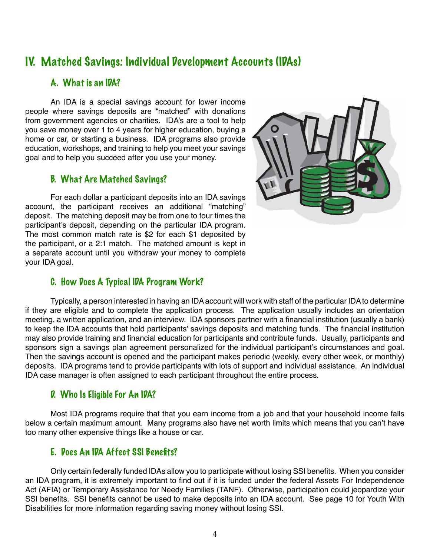## IV. Matched Savings: Individual Development Accounts (IDAs)

### A. What is an IDA?

An IDA is a special savings account for lower income people where savings deposits are "matched" with donations from government agencies or charities. IDA's are a tool to help you save money over 1 to 4 years for higher education, buying a home or car, or starting a business. IDA programs also provide education, workshops, and training to help you meet your savings goal and to help you succeed after you use your money.

#### B. What Are Matched Savings?

For each dollar a participant deposits into an IDA savings account, the participant receives an additional "matching" deposit. The matching deposit may be from one to four times the participant's deposit, depending on the particular IDA program. The most common match rate is \$2 for each \$1 deposited by the participant, or a 2:1 match. The matched amount is kept in a separate account until you withdraw your money to complete your IDA goal.



## C. How Does A Typical IDA Program Work?

Typically, a person interested in having an IDA account will work with staff of the particular IDA to determine if they are eligible and to complete the application process. The application usually includes an orientation meeting, a written application, and an interview. IDA sponsors partner with a financial institution (usually a bank) to keep the IDA accounts that hold participants' savings deposits and matching funds. The financial institution may also provide training and financial education for participants and contribute funds. Usually, participants and sponsors sign a savings plan agreement personalized for the individual participant's circumstances and goal. Then the savings account is opened and the participant makes periodic (weekly, every other week, or monthly) deposits. IDA programs tend to provide participants with lots of support and individual assistance. An individual IDA case manager is often assigned to each participant throughout the entire process.

## D. Who Is Eligible For An IDA?

Most IDA programs require that that you earn income from a job and that your household income falls below a certain maximum amount. Many programs also have net worth limits which means that you can't have too many other expensive things like a house or car.

## E. Does An IDA Affect SSI Benefits?

Only certain federally funded IDAs allow you to participate without losing SSI benefits. When you consider an IDA program, it is extremely important to find out if it is funded under the federal Assets For Independence Act (AFIA) or Temporary Assistance for Needy Families (TANF). Otherwise, participation could jeopardize your SSI benefits. SSI benefits cannot be used to make deposits into an IDA account. See page 10 for Youth With Disabilities for more information regarding saving money without losing SSI.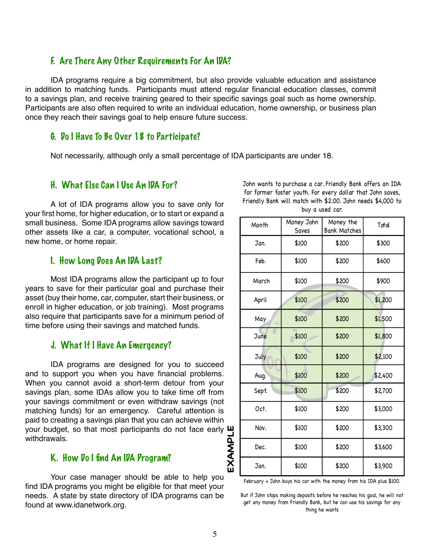#### F. Are There Any Other Requirements For An IDA?

IDA programs require a big commitment, but also provide valuable education and assistance in addition to matching funds. Participants must attend regular financial education classes, commit to a savings plan, and receive training geared to their specific savings goal such as home ownership. Participants are also often required to write an individual education, home ownership, or business plan once they reach their savings goal to help ensure future success.

#### G. Do I Have To Be Over 18 to Participate?

Not necessarily, although only a small percentage of IDA participants are under 18.

#### H. What Else Can I Use An IDA For?

A lot of IDA programs allow you to save only for your first home, for higher education, or to start or expand a small business. Some IDA programs allow savings toward other assets like a car, a computer, vocational school, a new home, or home repair.

#### I. How Long Does An IDA Last?

Most IDA programs allow the participant up to four years to save for their particular goal and purchase their asset (buy their home, car, computer, start their business, or enroll in higher education, or job training). Most programs also require that participants save for a minimum period of time before using their savings and matched funds.

#### J. What If I Have An Emergency?

IDA programs are designed for you to succeed and to support you when you have financial problems. When you cannot avoid a short-term detour from your savings plan, some IDAs allow you to take time off from your savings commitment or even withdraw savings (not matching funds) for an emergency. Careful attention is paid to creating a savings plan that you can achieve within your budget, so that most participants do not face early withdrawals.

#### K. How Do I find An IDA Program?

Your case manager should be able to help you find IDA programs you might be eligible for that meet your needs. A state by state directory of IDA programs can be found at www.idanetwork.org.

John wants to purchase a car. Friendly Bank offers an IDA for former foster youth. For every dollar that John saves, Friendly Bank will match with \$2.00. John needs \$4,000 to buy a used car.

| Month       | Money John<br>Saves | Money the<br><b>Bank Matches</b> | Total   |
|-------------|---------------------|----------------------------------|---------|
| Jan.        | \$100               | \$200                            | \$300   |
| Feb.        | \$100               | \$200                            | \$600   |
| March       | \$100               | \$200                            | \$900   |
| April       | \$100               | \$200                            | \$1,200 |
| May         | \$100               | \$200                            | \$1,500 |
| <b>June</b> | \$100               | \$200                            | \$1,800 |
| July        | \$100               | \$200                            | \$2,100 |
| Aug.        | \$100               | \$200                            | \$2,400 |
| Sept.       | \$100               | \$200                            | \$2,700 |
| Oct.        | \$100               | \$200                            | \$3,000 |
| Nov.        | \$100               | \$200                            | \$3,300 |
| Dec.        | \$100               | \$200                            | \$3,600 |
| Jan.        | \$100               | \$200                            | \$3,900 |

But if John stops making deposits before he reaches his goal, he will not get any money from Friendly Bank, but he can use his savings for any thing he wants

**EXAMPLE**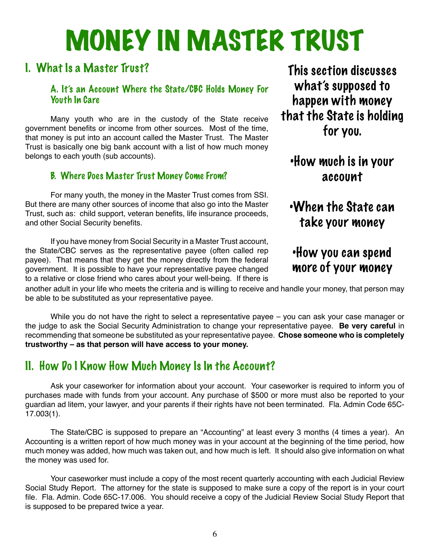# MONEY IN MASTER TRUST

## I. What Is a Master Trust?

## A. It's an Account Where the State/CBC Holds Money For Youth In Care

Many youth who are in the custody of the State receive government benefits or income from other sources. Most of the time, that money is put into an account called the Master Trust. The Master Trust is basically one big bank account with a list of how much money belongs to each youth (sub accounts).

## B. Where Does Master Trust Money Come From?

For many youth, the money in the Master Trust comes from SSI. But there are many other sources of income that also go into the Master Trust, such as: child support, veteran benefits, life insurance proceeds, and other Social Security benefits.

If you have money from Social Security in a Master Trust account, the State/CBC serves as the representative payee (often called rep payee). That means that they get the money directly from the federal government. It is possible to have your representative payee changed to a relative or close friend who cares about your well-being. If there is

This section discusses what's supposed to happen with money that the State is holding for you.

## •How much is in your account

## •When the State can take your money

## •How you can spend more of your money

another adult in your life who meets the criteria and is willing to receive and handle your money, that person may be able to be substituted as your representative payee.

While you do not have the right to select a representative payee – you can ask your case manager or the judge to ask the Social Security Administration to change your representative payee. **Be very careful** in recommending that someone be substituted as your representative payee. **Chose someone who is completely trustworthy – as that person will have access to your money.**

## II. How Do I Know How Much Money Is In the Account?

Ask your caseworker for information about your account. Your caseworker is required to inform you of purchases made with funds from your account. Any purchase of \$500 or more must also be reported to your guardian ad litem, your lawyer, and your parents if their rights have not been terminated. Fla. Admin Code 65C-17.003(1).

The State/CBC is supposed to prepare an "Accounting" at least every 3 months (4 times a year). An Accounting is a written report of how much money was in your account at the beginning of the time period, how much money was added, how much was taken out, and how much is left. It should also give information on what the money was used for.

Your caseworker must include a copy of the most recent quarterly accounting with each Judicial Review Social Study Report. The attorney for the state is supposed to make sure a copy of the report is in your court file. Fla. Admin. Code 65C-17.006. You should receive a copy of the Judicial Review Social Study Report that is supposed to be prepared twice a year.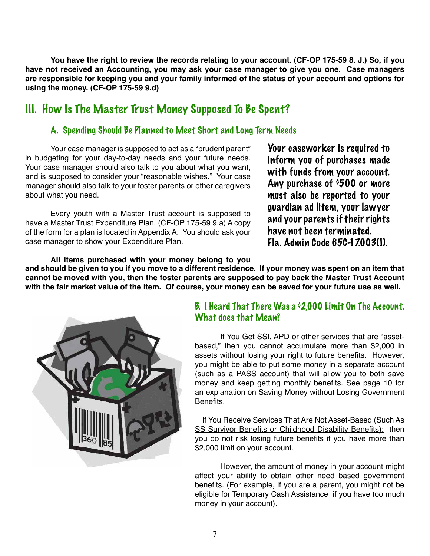**You have the right to review the records relating to your account. (CF-OP 175-59 8. J.) So, if you have not received an Accounting, you may ask your case manager to give you one. Case managers are responsible for keeping you and your family informed of the status of your account and options for using the money. (CF-OP 175-59 9.d)**

## III. How Is The Master Trust Money Supposed To Be Spent?

## A. Spending Should Be Planned to Meet Short and Long Term Needs

Your case manager is supposed to act as a "prudent parent" in budgeting for your day-to-day needs and your future needs. Your case manager should also talk to you about what you want, and is supposed to consider your "reasonable wishes." Your case manager should also talk to your foster parents or other caregivers about what you need.

Every youth with a Master Trust account is supposed to have a Master Trust Expenditure Plan. (CF-OP 175-59 9.a) A copy of the form for a plan is located in Appendix A. You should ask your case manager to show your Expenditure Plan.

Your caseworker is required to inform you of purchases made with funds from your account. Any purchase of \$500 or more must also be reported to your guardian ad litem, your lawyer and your parents if their rights have not been terminated. Fla. Admin Code 65C-17.003(1).

**and should be given to you if you move to a different residence. If your money was spent on an item that cannot be moved with you, then the foster parents are supposed to pay back the Master Trust Account with the fair market value of the item. Of course, your money can be saved for your future use as well. All items purchased with your money belong to you** 



## B. I Heard That There Was a  $62,000$  Limit On The Account. What does that Mean?

If You Get SSI, APD or other services that are "assetbased," then you cannot accumulate more than \$2,000 in assets without losing your right to future benefits. However, you might be able to put some money in a separate account (such as a PASS account) that will allow you to both save money and keep getting monthly benefits. See page 10 for an explanation on Saving Money without Losing Government **Benefits** 

If You Receive Services That Are Not Asset-Based (Such As SS Survivor Benefits or Childhood Disability Benefits): then you do not risk losing future benefits if you have more than \$2,000 limit on your account.

However, the amount of money in your account might affect your ability to obtain other need based government benefits. (For example, if you are a parent, you might not be eligible for Temporary Cash Assistance if you have too much money in your account).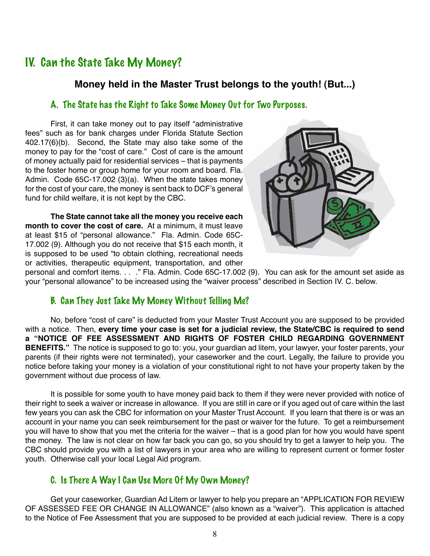## IV. Can the State Take My Money?

#### **Money held in the Master Trust belongs to the youth! (But...)**

#### A. The State has the Right to Take Some Money Out for Two Purposes.

First, it can take money out to pay itself "administrative fees" such as for bank charges under Florida Statute Section 402.17(6)(b). Second, the State may also take some of the money to pay for the "cost of care." Cost of care is the amount of money actually paid for residential services – that is payments to the foster home or group home for your room and board. Fla. Admin. Code 65C-17.002 (3)(a). When the state takes money for the cost of your care, the money is sent back to DCF's general fund for child welfare, it is not kept by the CBC.

**The State cannot take all the money you receive each month to cover the cost of care.** At a minimum, it must leave at least \$15 of "personal allowance." Fla. Admin. Code 65C-17.002 (9). Although you do not receive that \$15 each month, it is supposed to be used "to obtain clothing, recreational needs or activities, therapeutic equipment, transportation, and other



personal and comfort items. . . ." Fla. Admin. Code 65C-17.002 (9). You can ask for the amount set aside as your "personal allowance" to be increased using the "waiver process" described in Section IV. C. below.

#### B. Can They Just Take My Money Without Telling Me?

No, before "cost of care" is deducted from your Master Trust Account you are supposed to be provided with a notice. Then, **every time your case is set for a judicial review, the State/CBC is required to send a "NOTICE OF FEE ASSESSMENT AND RIGHTS OF FOSTER CHILD REGARDING GOVERNMENT BENEFITS."** The notice is supposed to go to: you, your guardian ad litem, your lawyer, your foster parents, your parents (if their rights were not terminated), your caseworker and the court. Legally, the failure to provide you notice before taking your money is a violation of your constitutional right to not have your property taken by the government without due process of law.

It is possible for some youth to have money paid back to them if they were never provided with notice of their right to seek a waiver or increase in allowance. If you are still in care or if you aged out of care within the last few years you can ask the CBC for information on your Master Trust Account. If you learn that there is or was an account in your name you can seek reimbursement for the past or waiver for the future. To get a reimbursement you will have to show that you met the criteria for the waiver – that is a good plan for how you would have spent the money. The law is not clear on how far back you can go, so you should try to get a lawyer to help you. The CBC should provide you with a list of lawyers in your area who are willing to represent current or former foster youth. Otherwise call your local Legal Aid program.

## C. Is There A Way I Can Use More Of My Own Money?

Get your caseworker, Guardian Ad Litem or lawyer to help you prepare an "APPLICATION FOR REVIEW OF ASSESSED FEE OR CHANGE IN ALLOWANCE" (also known as a "waiver"). This application is attached to the Notice of Fee Assessment that you are supposed to be provided at each judicial review. There is a copy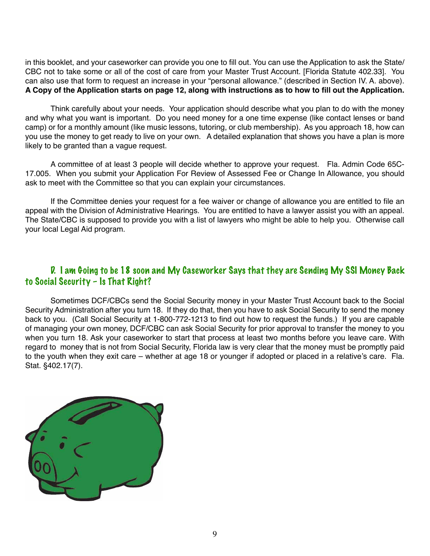in this booklet, and your caseworker can provide you one to fill out. You can use the Application to ask the State/ CBC not to take some or all of the cost of care from your Master Trust Account. [Florida Statute 402.33]. You can also use that form to request an increase in your "personal allowance." (described in Section IV. A. above). **A Copy of the Application starts on page 12, along with instructions as to how to fill out the Application.** 

Think carefully about your needs. Your application should describe what you plan to do with the money and why what you want is important. Do you need money for a one time expense (like contact lenses or band camp) or for a monthly amount (like music lessons, tutoring, or club membership). As you approach 18, how can you use the money to get ready to live on your own. A detailed explanation that shows you have a plan is more likely to be granted than a vague request.

A committee of at least 3 people will decide whether to approve your request. Fla. Admin Code 65C-17.005. When you submit your Application For Review of Assessed Fee or Change In Allowance, you should ask to meet with the Committee so that you can explain your circumstances.

If the Committee denies your request for a fee waiver or change of allowance you are entitled to file an appeal with the Division of Administrative Hearings. You are entitled to have a lawyer assist you with an appeal. The State/CBC is supposed to provide you with a list of lawyers who might be able to help you. Otherwise call your local Legal Aid program.

### D. I am Going to be 18 soon and My Caseworker Says that they are Sending My SSI Money Back to Social Security – Is That Right?

Sometimes DCF/CBCs send the Social Security money in your Master Trust Account back to the Social Security Administration after you turn 18. If they do that, then you have to ask Social Security to send the money back to you. (Call Social Security at 1-800-772-1213 to find out how to request the funds.) If you are capable of managing your own money, DCF/CBC can ask Social Security for prior approval to transfer the money to you when you turn 18. Ask your caseworker to start that process at least two months before you leave care. With regard to money that is not from Social Security, Florida law is very clear that the money must be promptly paid to the youth when they exit care – whether at age 18 or younger if adopted or placed in a relative's care. Fla. Stat. §402.17(7).

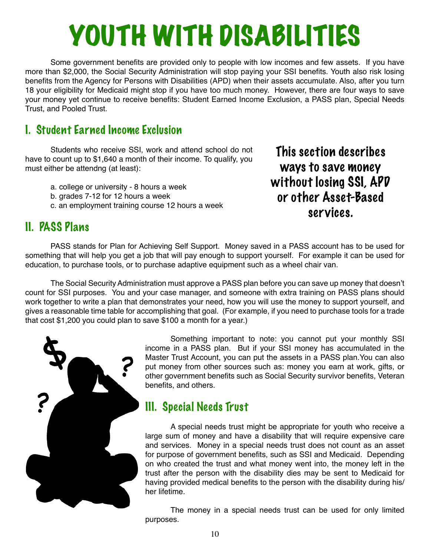## YOUTH WITH DISABILITIES

Some government benefits are provided only to people with low incomes and few assets. If you have more than \$2,000, the Social Security Administration will stop paying your SSI benefits. Youth also risk losing benefits from the Agency for Persons with Disabilities (APD) when their assets accumulate. Also, after you turn 18 your eligibility for Medicaid might stop if you have too much money. However, there are four ways to save your money yet continue to receive benefits: Student Earned Income Exclusion, a PASS plan, Special Needs Trust, and Pooled Trust.

## I. Student Earned Income Exclusion

Students who receive SSI, work and attend school do not have to count up to \$1,640 a month of their income. To qualify, you must either be attendng (at least):

- a. college or university 8 hours a week
- b. grades 7-12 for 12 hours a week
- c. an employment training course 12 hours a week

This section describes ways to save money without losing SSI, APD or other Asset-Based services.

## II. PASS Plans

PASS stands for Plan for Achieving Self Support. Money saved in a PASS account has to be used for something that will help you get a job that will pay enough to support yourself. For example it can be used for education, to purchase tools, or to purchase adaptive equipment such as a wheel chair van.

The Social Security Administration must approve a PASS plan before you can save up money that doesn't count for SSI purposes. You and your case manager, and someone with extra training on PASS plans should work together to write a plan that demonstrates your need, how you will use the money to support yourself, and gives a reasonable time table for accomplishing that goal. (For example, if you need to purchase tools for a trade that cost \$1,200 you could plan to save \$100 a month for a year.)



Something important to note: you cannot put your monthly SSI income in a PASS plan. But if your SSI money has accumulated in the Master Trust Account, you can put the assets in a PASS plan.You can also put money from other sources such as: money you earn at work, gifts, or other government benefits such as Social Security survivor benefits, Veteran benefits, and others.

## III. Special Needs Trust

A special needs trust might be appropriate for youth who receive a large sum of money and have a disability that will require expensive care and services. Money in a special needs trust does not count as an asset for purpose of government benefits, such as SSI and Medicaid. Depending on who created the trust and what money went into, the money left in the trust after the person with the disability dies may be sent to Medicaid for having provided medical benefits to the person with the disability during his/ her lifetime.

The money in a special needs trust can be used for only limited purposes.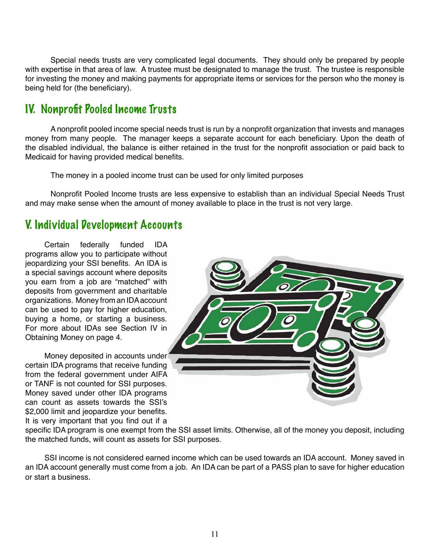Special needs trusts are very complicated legal documents. They should only be prepared by people with expertise in that area of law. A trustee must be designated to manage the trust. The trustee is responsible for investing the money and making payments for appropriate items or services for the person who the money is being held for (the beneficiary).

## IV. Nonprofit Pooled Income Trusts

A nonprofit pooled income special needs trust is run by a nonprofit organization that invests and manages money from many people. The manager keeps a separate account for each beneficiary. Upon the death of the disabled individual, the balance is either retained in the trust for the nonprofit association or paid back to Medicaid for having provided medical benefits.

The money in a pooled income trust can be used for only limited purposes

Nonprofit Pooled Income trusts are less expensive to establish than an individual Special Needs Trust and may make sense when the amount of money available to place in the trust is not very large.

## V. Individual Development Accounts

Certain federally funded IDA programs allow you to participate without jeopardizing your SSI benefits. An IDA is a special savings account where deposits you earn from a job are "matched" with deposits from government and charitable organizations. Money from an IDA account can be used to pay for higher education, buying a home, or starting a business. For more about IDAs see Section IV in Obtaining Money on page 4.

Money deposited in accounts under certain IDA programs that receive funding from the federal government under AIFA or TANF is not counted for SSI purposes. Money saved under other IDA programs can count as assets towards the SSI's \$2,000 limit and jeopardize your benefits. It is very important that you find out if a



specific IDA program is one exempt from the SSI asset limits. Otherwise, all of the money you deposit, including the matched funds, will count as assets for SSI purposes.

SSI income is not considered earned income which can be used towards an IDA account. Money saved in an IDA account generally must come from a job. An IDA can be part of a PASS plan to save for higher education or start a business.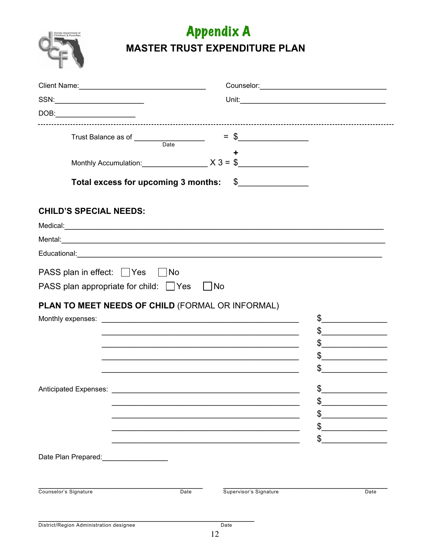

## **Appendix A MASTER TRUST EXPENDITURE PLAN**

| Client Name: 1988                                                                                                                                                                                                                                                                                                                                                                                                                                                                                                                                                                                                                                                                                     |                                                                                                                        |                                                                                                                                                                                                                                                                                                                                                                                                                                                                                                                                                                                                                                                                                                                                                                                                                                                                                                                       |
|-------------------------------------------------------------------------------------------------------------------------------------------------------------------------------------------------------------------------------------------------------------------------------------------------------------------------------------------------------------------------------------------------------------------------------------------------------------------------------------------------------------------------------------------------------------------------------------------------------------------------------------------------------------------------------------------------------|------------------------------------------------------------------------------------------------------------------------|-----------------------------------------------------------------------------------------------------------------------------------------------------------------------------------------------------------------------------------------------------------------------------------------------------------------------------------------------------------------------------------------------------------------------------------------------------------------------------------------------------------------------------------------------------------------------------------------------------------------------------------------------------------------------------------------------------------------------------------------------------------------------------------------------------------------------------------------------------------------------------------------------------------------------|
| SSN: _________________________                                                                                                                                                                                                                                                                                                                                                                                                                                                                                                                                                                                                                                                                        |                                                                                                                        |                                                                                                                                                                                                                                                                                                                                                                                                                                                                                                                                                                                                                                                                                                                                                                                                                                                                                                                       |
| $\text{DOB:}\qquad \qquad \overbrace{\qquad \qquad }$                                                                                                                                                                                                                                                                                                                                                                                                                                                                                                                                                                                                                                                 |                                                                                                                        |                                                                                                                                                                                                                                                                                                                                                                                                                                                                                                                                                                                                                                                                                                                                                                                                                                                                                                                       |
| Trust Balance as of <u>Date</u>                                                                                                                                                                                                                                                                                                                                                                                                                                                                                                                                                                                                                                                                       | $=$ \$                                                                                                                 |                                                                                                                                                                                                                                                                                                                                                                                                                                                                                                                                                                                                                                                                                                                                                                                                                                                                                                                       |
| Monthly Accumulation: $X3 = $$                                                                                                                                                                                                                                                                                                                                                                                                                                                                                                                                                                                                                                                                        |                                                                                                                        |                                                                                                                                                                                                                                                                                                                                                                                                                                                                                                                                                                                                                                                                                                                                                                                                                                                                                                                       |
| Total excess for upcoming 3 months: \$                                                                                                                                                                                                                                                                                                                                                                                                                                                                                                                                                                                                                                                                |                                                                                                                        |                                                                                                                                                                                                                                                                                                                                                                                                                                                                                                                                                                                                                                                                                                                                                                                                                                                                                                                       |
| <b>CHILD'S SPECIAL NEEDS:</b>                                                                                                                                                                                                                                                                                                                                                                                                                                                                                                                                                                                                                                                                         |                                                                                                                        |                                                                                                                                                                                                                                                                                                                                                                                                                                                                                                                                                                                                                                                                                                                                                                                                                                                                                                                       |
| Medical: experimental and the contract of the contract of the contract of the contract of the contract of the contract of the contract of the contract of the contract of the contract of the contract of the contract of the<br>Mental: experimental contract to the contract of the contract of the contract of the contract of the contract of the contract of the contract of the contract of the contract of the contract of the contract of the contract<br>Educational: <u>Contractor Communications</u> and Contractor Contractor Contractor Contractor Contractor Contractor Contractor Contractor Contractor Contractor Contractor Contractor Contractor Contractor Contractor Contractor C |                                                                                                                        |                                                                                                                                                                                                                                                                                                                                                                                                                                                                                                                                                                                                                                                                                                                                                                                                                                                                                                                       |
| PASS plan in effect: Ves No<br>PASS plan appropriate for child: $\Box$ Yes $\Box$ No                                                                                                                                                                                                                                                                                                                                                                                                                                                                                                                                                                                                                  |                                                                                                                        |                                                                                                                                                                                                                                                                                                                                                                                                                                                                                                                                                                                                                                                                                                                                                                                                                                                                                                                       |
| PLAN TO MEET NEEDS OF CHILD (FORMAL OR INFORMAL)                                                                                                                                                                                                                                                                                                                                                                                                                                                                                                                                                                                                                                                      | <u> La componenta de la componenta de la componenta de la componenta de la componenta de la componenta de la compo</u> | $\frac{1}{2}$<br>$\frac{1}{2}$<br>$\frac{1}{2}$<br>$\frac{1}{\sqrt{1-\frac{1}{2}}}\frac{1}{\sqrt{1-\frac{1}{2}}}\frac{1}{\sqrt{1-\frac{1}{2}}}\frac{1}{\sqrt{1-\frac{1}{2}}}\frac{1}{\sqrt{1-\frac{1}{2}}}\frac{1}{\sqrt{1-\frac{1}{2}}}\frac{1}{\sqrt{1-\frac{1}{2}}}\frac{1}{\sqrt{1-\frac{1}{2}}}\frac{1}{\sqrt{1-\frac{1}{2}}}\frac{1}{\sqrt{1-\frac{1}{2}}}\frac{1}{\sqrt{1-\frac{1}{2}}}\frac{1}{\sqrt{1-\frac{1}{2}}}\frac{1}{\sqrt{1-\frac{1}{2}}}\frac{1}{\sqrt{1-\frac{$<br>$\frac{1}{\sqrt{1-\frac{1}{2}}}\frac{1}{\sqrt{1-\frac{1}{2}}}\frac{1}{\sqrt{1-\frac{1}{2}}}\frac{1}{\sqrt{1-\frac{1}{2}}}\frac{1}{\sqrt{1-\frac{1}{2}}}\frac{1}{\sqrt{1-\frac{1}{2}}}\frac{1}{\sqrt{1-\frac{1}{2}}}\frac{1}{\sqrt{1-\frac{1}{2}}}\frac{1}{\sqrt{1-\frac{1}{2}}}\frac{1}{\sqrt{1-\frac{1}{2}}}\frac{1}{\sqrt{1-\frac{1}{2}}}\frac{1}{\sqrt{1-\frac{1}{2}}}\frac{1}{\sqrt{1-\frac{1}{2}}}\frac{1}{\sqrt{1-\frac{$ |
|                                                                                                                                                                                                                                                                                                                                                                                                                                                                                                                                                                                                                                                                                                       | \$                                                                                                                     | $\sim$                                                                                                                                                                                                                                                                                                                                                                                                                                                                                                                                                                                                                                                                                                                                                                                                                                                                                                                |
| Date Plan Prepared:                                                                                                                                                                                                                                                                                                                                                                                                                                                                                                                                                                                                                                                                                   |                                                                                                                        |                                                                                                                                                                                                                                                                                                                                                                                                                                                                                                                                                                                                                                                                                                                                                                                                                                                                                                                       |
| Counselor's Signature<br>Date                                                                                                                                                                                                                                                                                                                                                                                                                                                                                                                                                                                                                                                                         | Supervisor's Signature                                                                                                 | Date                                                                                                                                                                                                                                                                                                                                                                                                                                                                                                                                                                                                                                                                                                                                                                                                                                                                                                                  |
| District/Region Administration designee                                                                                                                                                                                                                                                                                                                                                                                                                                                                                                                                                                                                                                                               | Date                                                                                                                   |                                                                                                                                                                                                                                                                                                                                                                                                                                                                                                                                                                                                                                                                                                                                                                                                                                                                                                                       |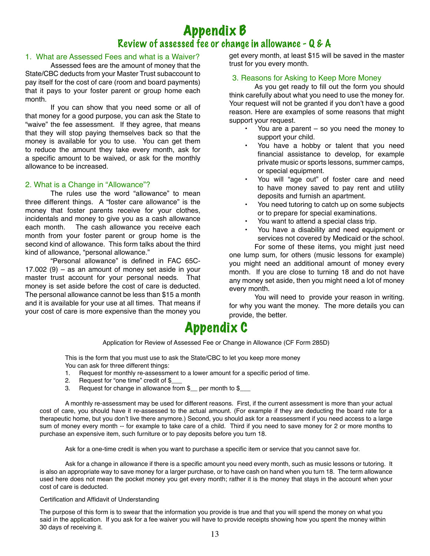## Appendix B Review of assessed fee or change in allowance - Q & A

#### 1. What are Assessed Fees and what is a Waiver?

Assessed fees are the amount of money that the State/CBC deducts from your Master Trust subaccount to pay itself for the cost of care (room and board payments) that it pays to your foster parent or group home each month.

If you can show that you need some or all of that money for a good purpose, you can ask the State to "waive" the fee assessment. If they agree, that means that they will stop paying themselves back so that the money is available for you to use. You can get them to reduce the amount they take every month, ask for a specific amount to be waived, or ask for the monthly allowance to be increased.

#### 2. What is a Change in "Allowance"?

The rules use the word "allowance" to mean three different things. A "foster care allowance" is the money that foster parents receive for your clothes, incidentals and money to give you as a cash allowance The cash allowance you receive each month from your foster parent or group home is the second kind of allowance. This form talks about the third kind of allowance, "personal allowance."

"Personal allowance" is defined in FAC 65C- $17.002$  (9) – as an amount of money set aside in your master trust account for your personal needs. That money is set aside before the cost of care is deducted. The personal allowance cannot be less than \$15 a month and it is available for your use at all times. That means if your cost of care is more expensive than the money you

get every month, at least \$15 will be saved in the master trust for you every month.

#### 3. Reasons for Asking to Keep More Money

As you get ready to fill out the form you should think carefully about what you need to use the money for. Your request will not be granted if you don't have a good reason. Here are examples of some reasons that might support your request.

- You are a parent  $-$  so you need the money to support your child.
- You have a hobby or talent that you need financial assistance to develop, for example private music or sports lessons, summer camps, or special equipment.
- You will "age out" of foster care and need to have money saved to pay rent and utility deposits and furnish an apartment.
- You need tutoring to catch up on some subjects or to prepare for special examinations.
- You want to attend a special class trip.
- You have a disability and need equipment or services not covered by Medicaid or the school. For some of these items, you might just need

one lump sum, for others (music lessons for example) you might need an additional amount of money every month. If you are close to turning 18 and do not have any money set aside, then you might need a lot of money every month.

You will need to provide your reason in writing. for why you want the money. The more details you can provide, the better.

## Appendix C

Application for Review of Assessed Fee or Change in Allowance (CF Form 285D)

This is the form that you must use to ask the State/CBC to let you keep more money You can ask for three different things:

- 1. Request for monthly re-assessment to a lower amount for a specific period of time.
- 2. Request for "one time" credit of \$
- 3. Request for change in allowance from \$\_\_ per month to \$\_\_\_

A monthly re-assessment may be used for different reasons. First, if the current assessment is more than your actual cost of care, you should have it re-assessed to the actual amount. (For example if they are deducting the board rate for a therapeutic home, but you don't live there anymore.) Second, you should ask for a reassessment if you need access to a large sum of money every month -- for example to take care of a child. Third if you need to save money for 2 or more months to purchase an expensive item, such furniture or to pay deposits before you turn 18.

Ask for a one-time credit is when you want to purchase a specific item or service that you cannot save for.

Ask for a change in allowance if there is a specific amount you need every month, such as music lessons or tutoring. It is also an appropriate way to save money for a larger purchase, or to have cash on hand when you turn 18. The term allowance used here does not mean the pocket money you get every month; rather it is the money that stays in the account when your cost of care is deducted.

#### Certification and Affidavit of Understanding

The purpose of this form is to swear that the information you provide is true and that you will spend the money on what you said in the application. If you ask for a fee waiver you will have to provide receipts showing how you spent the money within 30 days of receiving it.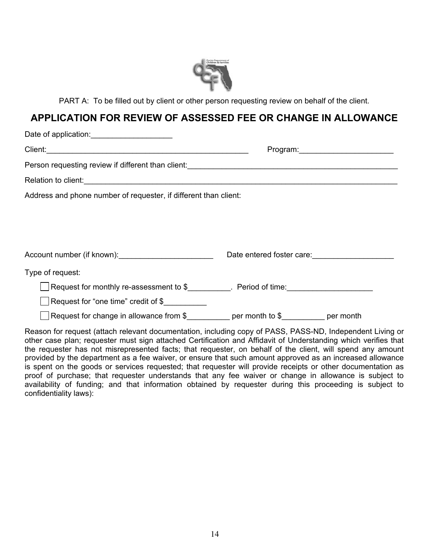

PART A: To be filled out by client or other person requesting review on behalf of the client.

### **APPLICATION FOR REVIEW OF ASSESSED FEE OR CHANGE IN ALLOWANCE**

| Date of application:<br><u> </u>                                                        |                           |
|-----------------------------------------------------------------------------------------|---------------------------|
|                                                                                         | Program: Program.         |
|                                                                                         |                           |
|                                                                                         |                           |
| Address and phone number of requester, if different than client:                        |                           |
|                                                                                         |                           |
|                                                                                         |                           |
|                                                                                         |                           |
| Account number (if known): ____________________________                                 | Date entered foster care: |
| Type of request:                                                                        |                           |
| Request for monthly re-assessment to \$___________. Period of time:_______________      |                           |
| Request for "one time" credit of \$                                                     |                           |
| Request for change in allowance from $\frac{1}{2}$ per month to $\frac{1}{2}$ per month |                           |

Reason for request (attach relevant documentation, including copy of PASS, PASS-ND, Independent Living or other case plan; requester must sign attached Certification and Affidavit of Understanding which verifies that the requester has not misrepresented facts; that requester, on behalf of the client, will spend any amount provided by the department as a fee waiver, or ensure that such amount approved as an increased allowance is spent on the goods or services requested; that requester will provide receipts or other documentation as proof of purchase; that requester understands that any fee waiver or change in allowance is subject to availability of funding; and that information obtained by requester during this proceeding is subject to confidentiality laws):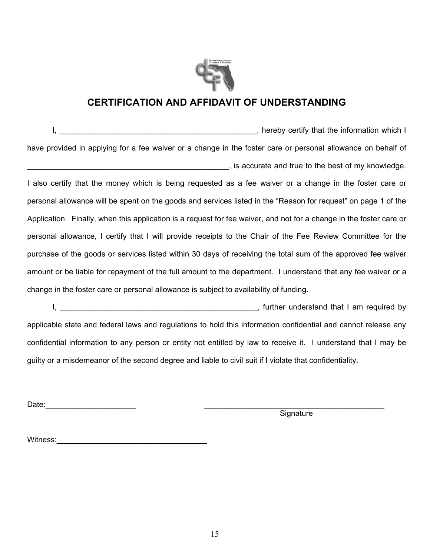

## **CERTIFICATION AND AFFIDAVIT OF UNDERSTANDING**

 I, \_\_\_\_\_\_\_\_\_\_\_\_\_\_\_\_\_\_\_\_\_\_\_\_\_\_\_\_\_\_\_\_\_\_\_\_\_\_\_\_\_\_\_\_\_\_, hereby certify that the information which I have provided in applying for a fee waiver or a change in the foster care or personal allowance on behalf of \_\_\_\_\_\_\_\_\_\_\_\_\_\_\_\_\_\_\_\_\_\_\_\_\_\_\_\_\_\_\_\_\_\_\_\_\_\_\_\_\_\_\_\_\_\_\_, is accurate and true to the best of my knowledge.

I also certify that the money which is being requested as a fee waiver or a change in the foster care or personal allowance will be spent on the goods and services listed in the "Reason for request" on page 1 of the Application. Finally, when this application is a request for fee waiver, and not for a change in the foster care or personal allowance, I certify that I will provide receipts to the Chair of the Fee Review Committee for the purchase of the goods or services listed within 30 days of receiving the total sum of the approved fee waiver amount or be liable for repayment of the full amount to the department. I understand that any fee waiver or a change in the foster care or personal allowance is subject to availability of funding.

 I, \_\_\_\_\_\_\_\_\_\_\_\_\_\_\_\_\_\_\_\_\_\_\_\_\_\_\_\_\_\_\_\_\_\_\_\_\_\_\_\_\_\_\_\_\_\_, further understand that I am required by applicable state and federal laws and regulations to hold this information confidential and cannot release any confidential information to any person or entity not entitled by law to receive it. I understand that I may be guilty or a misdemeanor of the second degree and liable to civil suit if I violate that confidentiality.

Date:\_\_\_\_\_\_\_\_\_\_\_\_\_\_\_\_\_\_\_\_\_ \_\_\_\_\_\_\_\_\_\_\_\_\_\_\_\_\_\_\_\_\_\_\_\_\_\_\_\_\_\_\_\_\_\_\_\_\_\_\_\_\_\_

**Signature** 

Witness:\_\_\_\_\_\_\_\_\_\_\_\_\_\_\_\_\_\_\_\_\_\_\_\_\_\_\_\_\_\_\_\_\_\_\_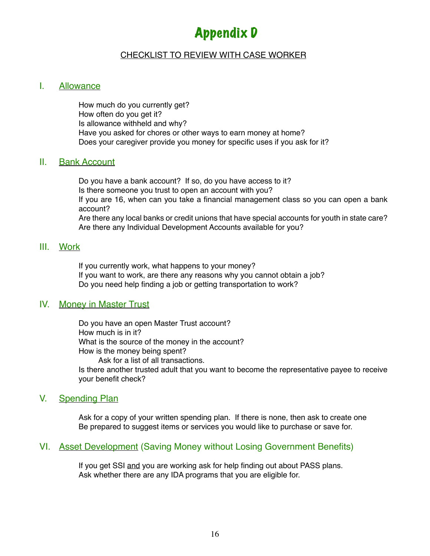## Appendix D

#### CHECKLIST TO REVIEW WITH CASE WORKER

#### I. Allowance

 How much do you currently get? How often do you get it? Is allowance withheld and why? Have you asked for chores or other ways to earn money at home? Does your caregiver provide you money for specific uses if you ask for it?

#### II. Bank Account

Do you have a bank account? If so, do you have access to it? Is there someone you trust to open an account with you? If you are 16, when can you take a financial management class so you can open a bank account? Are there any local banks or credit unions that have special accounts for youth in state care? Are there any Individual Development Accounts available for you?

#### III. Work

 If you currently work, what happens to your money? If you want to work, are there any reasons why you cannot obtain a job? Do you need help finding a job or getting transportation to work?

#### IV. Money in Master Trust

 Do you have an open Master Trust account? How much is in it? What is the source of the money in the account? How is the money being spent? Ask for a list of all transactions. Is there another trusted adult that you want to become the representative payee to receive your benefit check?

#### V. Spending Plan

 Ask for a copy of your written spending plan. If there is none, then ask to create one Be prepared to suggest items or services you would like to purchase or save for.

#### VI. Asset Development (Saving Money without Losing Government Benefits)

If you get SSI and you are working ask for help finding out about PASS plans. Ask whether there are any IDA programs that you are eligible for.